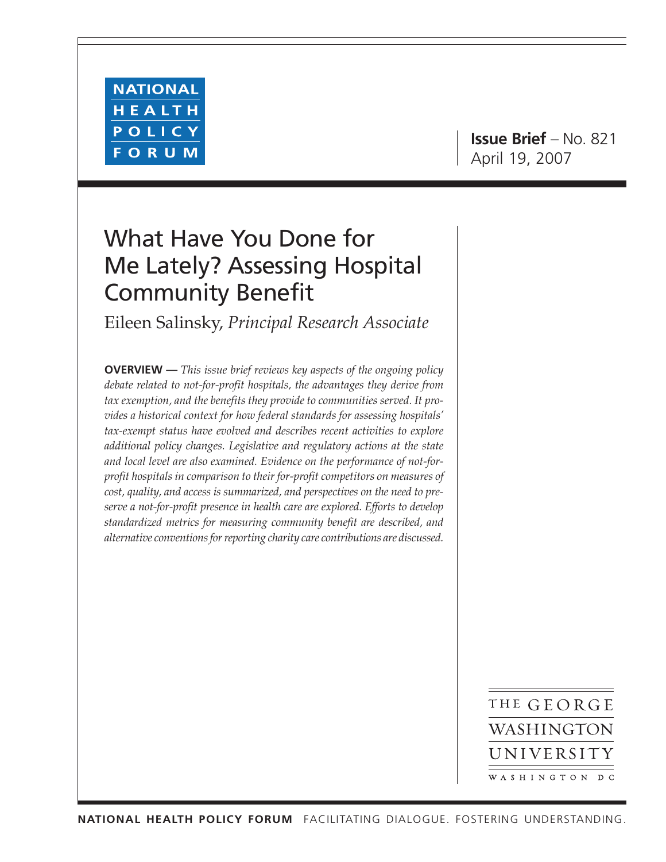

**Issue Brief** – No. 821 April 19, 2007

## What Have You Done for Me Lately? Assessing Hospital Community Benefit

Eileen Salinsky, *Principal Research Associate*

**OVERVIEW —** *This issue brief reviews key aspects of the ongoing policy debate related to not-for-profit hospitals, the advantages they derive from tax exemption, and the benefits they provide to communities served. It provides a historical context for how federal standards for assessing hospitals' tax-exempt status have evolved and describes recent activities to explore additional policy changes. Legislative and regulatory actions at the state and local level are also examined. Evidence on the performance of not-forprofit hospitals in comparison to their for-profit competitors on measures of cost, quality, and access is summarized, and perspectives on the need to preserve a not-for-profit presence in health care are explored. Efforts to develop standardized metrics for measuring community benefit are described, and alternative conventions for reporting charity care contributions are discussed.*

> THE GEORGE WASHINGTON UNIVERSITY WASHINGTON DC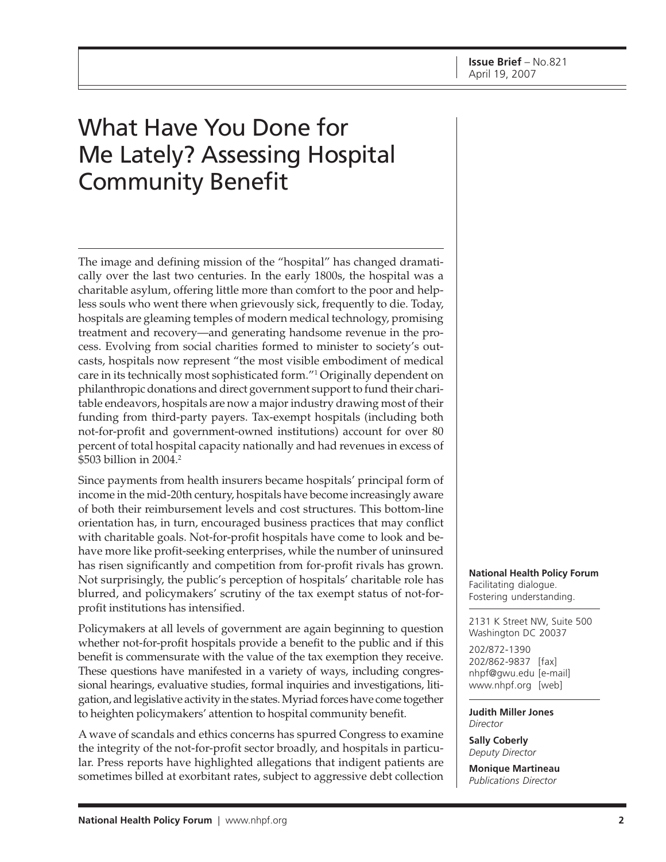# What Have You Done for Me Lately? Assessing Hospital Community Benefit

The image and defining mission of the "hospital" has changed dramatically over the last two centuries. In the early 1800s, the hospital was a charitable asylum, offering little more than comfort to the poor and helpless souls who went there when grievously sick, frequently to die. Today, hospitals are gleaming temples of modern medical technology, promising treatment and recovery—and generating handsome revenue in the process. Evolving from social charities formed to minister to society's outcasts, hospitals now represent "the most visible embodiment of medical care in its technically most sophisticated form."1 Originally dependent on philanthropic donations and direct government support to fund their charitable endeavors, hospitals are now a major industry drawing most of their funding from third-party payers. Tax-exempt hospitals (including both not-for-profit and government-owned institutions) account for over 80 percent of total hospital capacity nationally and had revenues in excess of \$503 billion in 2004.2

Since payments from health insurers became hospitals' principal form of income in the mid-20th century, hospitals have become increasingly aware of both their reimbursement levels and cost structures. This bottom-line orientation has, in turn, encouraged business practices that may conflict with charitable goals. Not-for-profit hospitals have come to look and behave more like profit-seeking enterprises, while the number of uninsured has risen significantly and competition from for-profit rivals has grown. Not surprisingly, the public's perception of hospitals' charitable role has blurred, and policymakers' scrutiny of the tax exempt status of not-forprofit institutions has intensified.

Policymakers at all levels of government are again beginning to question whether not-for-profit hospitals provide a benefit to the public and if this benefit is commensurate with the value of the tax exemption they receive. These questions have manifested in a variety of ways, including congressional hearings, evaluative studies, formal inquiries and investigations, litigation, and legislative activity in the states. Myriad forces have come together to heighten policymakers' attention to hospital community benefit.

A wave of scandals and ethics concerns has spurred Congress to examine the integrity of the not-for-profit sector broadly, and hospitals in particular. Press reports have highlighted allegations that indigent patients are sometimes billed at exorbitant rates, subject to aggressive debt collection **National Health Policy Forum** Facilitating dialogue. Fostering understanding.

2131 K Street NW, Suite 500 Washington DC 20037

202/872-1390 202/862-9837 [fax] [nhpf@gwu.edu \[e](mailto:nhpf@gwu.edu)-mail] [www.nhpf.org \[w](http://www.nhpf.org)eb]

**Judith Miller Jones** *Director*

**Sally Coberly** *Deputy Director*

**Monique Martineau** *Publications Director*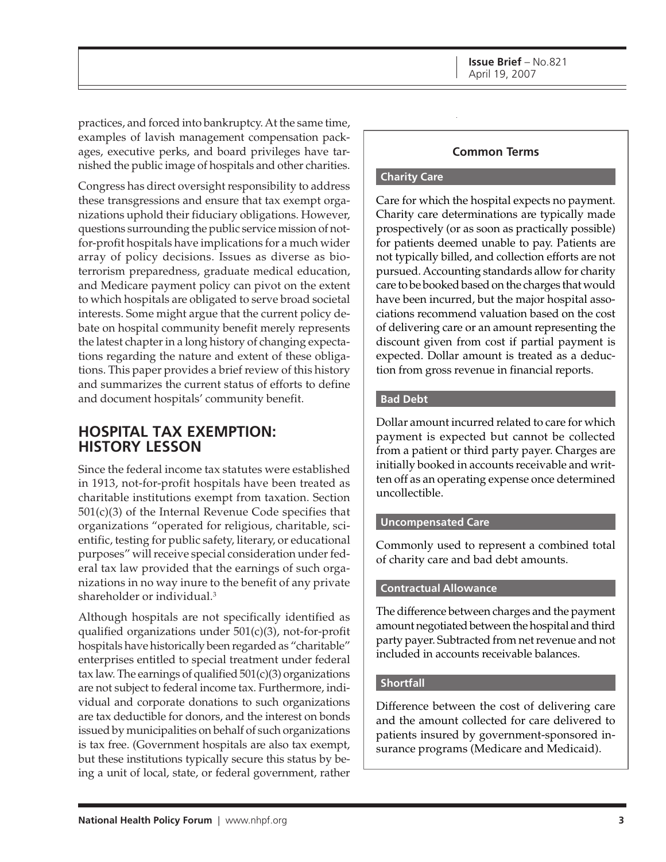practices, and forced into bankruptcy. At the same time, examples of lavish management compensation packages, executive perks, and board privileges have tarnished the public image of hospitals and other charities.

Congress has direct oversight responsibility to address these transgressions and ensure that tax exempt organizations uphold their fiduciary obligations. However, questions surrounding the public service mission of notfor-profit hospitals have implications for a much wider array of policy decisions. Issues as diverse as bioterrorism preparedness, graduate medical education, and Medicare payment policy can pivot on the extent to which hospitals are obligated to serve broad societal interests. Some might argue that the current policy debate on hospital community benefit merely represents the latest chapter in a long history of changing expectations regarding the nature and extent of these obligations. This paper provides a brief review of this history and summarizes the current status of efforts to define and document hospitals' community benefit.

### **HOSPITAL TAX EXEMPTION: HISTORY LESSON**

Since the federal income tax statutes were established in 1913, not-for-profit hospitals have been treated as charitable institutions exempt from taxation. Section 501(c)(3) of the Internal Revenue Code specifies that organizations "operated for religious, charitable, scientific, testing for public safety, literary, or educational purposes" will receive special consideration under federal tax law provided that the earnings of such organizations in no way inure to the benefit of any private shareholder or individual.3

Although hospitals are not specifically identified as qualified organizations under  $501(c)(3)$ , not-for-profit hospitals have historically been regarded as "charitable" enterprises entitled to special treatment under federal tax law. The earnings of qualified  $501(c)(3)$  organizations are not subject to federal income tax. Furthermore, individual and corporate donations to such organizations are tax deductible for donors, and the interest on bonds issued by municipalities on behalf of such organizations is tax free. (Government hospitals are also tax exempt, but these institutions typically secure this status by being a unit of local, state, or federal government, rather

### **Common Terms**

#### **Charity Care**

Care for which the hospital expects no payment. Charity care determinations are typically made prospectively (or as soon as practically possible) for patients deemed unable to pay. Patients are not typically billed, and collection efforts are not pursued. Accounting standards allow for charity care to be booked based on the charges that would have been incurred, but the major hospital associations recommend valuation based on the cost of delivering care or an amount representing the discount given from cost if partial payment is expected. Dollar amount is treated as a deduction from gross revenue in financial reports.

#### **Bad Debt**

Dollar amount incurred related to care for which payment is expected but cannot be collected from a patient or third party payer. Charges are initially booked in accounts receivable and written off as an operating expense once determined uncollectible.

#### **Uncompensated Care**

Commonly used to represent a combined total of charity care and bad debt amounts.

#### **Contractual Allowance**

The difference between charges and the payment amount negotiated between the hospital and third party payer. Subtracted from net revenue and not included in accounts receivable balances.

#### **Shortfall**

Difference between the cost of delivering care and the amount collected for care delivered to patients insured by government-sponsored insurance programs (Medicare and Medicaid).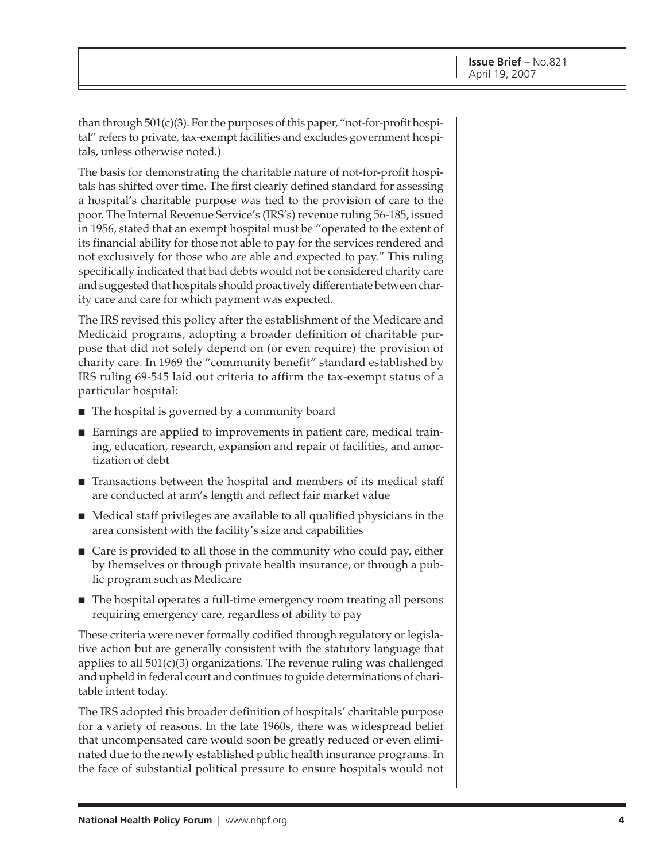than through 501(c)(3). For the purposes of this paper, "not-for-profit hospital" refers to private, tax-exempt facilities and excludes government hospitals, unless otherwise noted.)

The basis for demonstrating the charitable nature of not-for-profit hospitals has shifted over time. The first clearly defined standard for assessing a hospital's charitable purpose was tied to the provision of care to the poor. The Internal Revenue Service's (IRS's) revenue ruling 56-185, issued in 1956, stated that an exempt hospital must be "operated to the extent of its financial ability for those not able to pay for the services rendered and not exclusively for those who are able and expected to pay." This ruling specifically indicated that bad debts would not be considered charity care and suggested that hospitals should proactively differentiate between charity care and care for which payment was expected.

The IRS revised this policy after the establishment of the Medicare and Medicaid programs, adopting a broader definition of charitable purpose that did not solely depend on (or even require) the provision of charity care. In 1969 the "community benefit" standard established by IRS ruling 69-545 laid out criteria to affirm the tax-exempt status of a particular hospital:

- The hospital is governed by a community board
- Earnings are applied to improvements in patient care, medical training, education, research, expansion and repair of facilities, and amortization of debt
- Transactions between the hospital and members of its medical staff are conducted at arm's length and reflect fair market value
- Medical staff privileges are available to all qualified physicians in the area consistent with the facility's size and capabilities
- Care is provided to all those in the community who could pay, either by themselves or through private health insurance, or through a public program such as Medicare
- The hospital operates a full-time emergency room treating all persons requiring emergency care, regardless of ability to pay

These criteria were never formally codified through regulatory or legislative action but are generally consistent with the statutory language that applies to all 501(c)(3) organizations. The revenue ruling was challenged and upheld in federal court and continues to guide determinations of charitable intent today.

The IRS adopted this broader definition of hospitals' charitable purpose for a variety of reasons. In the late 1960s, there was widespread belief that uncompensated care would soon be greatly reduced or even eliminated due to the newly established public health insurance programs. In the face of substantial political pressure to ensure hospitals would not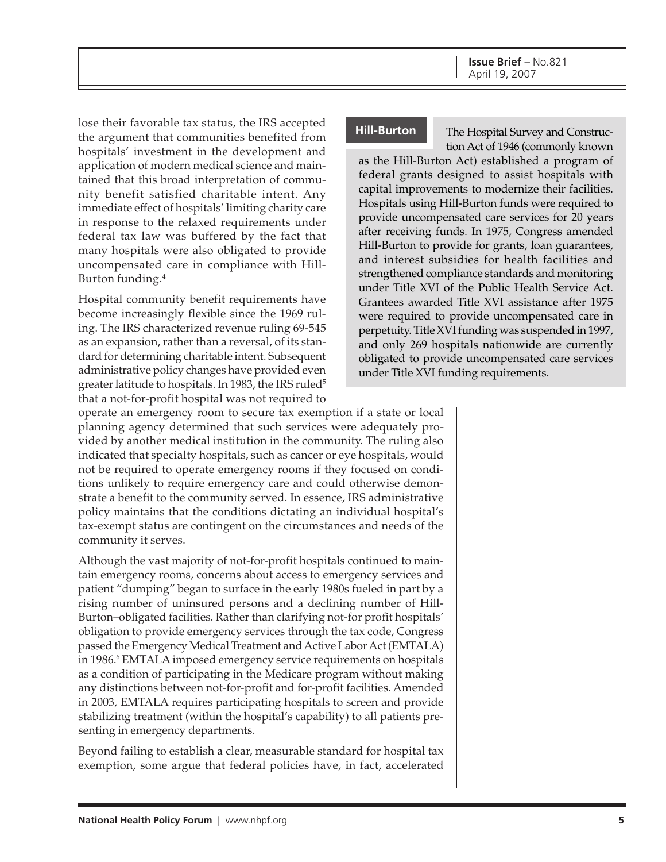lose their favorable tax status, the IRS accepted the argument that communities benefited from hospitals' investment in the development and application of modern medical science and maintained that this broad interpretation of community benefit satisfied charitable intent. Any immediate effect of hospitals' limiting charity care in response to the relaxed requirements under federal tax law was buffered by the fact that many hospitals were also obligated to provide uncompensated care in compliance with Hill-Burton funding.4

Hospital community benefit requirements have become increasingly flexible since the 1969 ruling. The IRS characterized revenue ruling 69-545 as an expansion, rather than a reversal, of its standard for determining charitable intent. Subsequent administrative policy changes have provided even greater latitude to hospitals. In 1983, the IRS ruled<sup>5</sup> that a not-for-profit hospital was not required to

#### **Hill-Burton**

The Hospital Survey and Construction Act of 1946 (commonly known

as the Hill-Burton Act) established a program of federal grants designed to assist hospitals with capital improvements to modernize their facilities. Hospitals using Hill-Burton funds were required to provide uncompensated care services for 20 years after receiving funds. In 1975, Congress amended Hill-Burton to provide for grants, loan guarantees, and interest subsidies for health facilities and strengthened compliance standards and monitoring under Title XVI of the Public Health Service Act. Grantees awarded Title XVI assistance after 1975 were required to provide uncompensated care in perpetuity. Title XVI funding was suspended in 1997, and only 269 hospitals nationwide are currently obligated to provide uncompensated care services under Title XVI funding requirements.

operate an emergency room to secure tax exemption if a state or local planning agency determined that such services were adequately provided by another medical institution in the community. The ruling also indicated that specialty hospitals, such as cancer or eye hospitals, would not be required to operate emergency rooms if they focused on conditions unlikely to require emergency care and could otherwise demonstrate a benefit to the community served. In essence, IRS administrative policy maintains that the conditions dictating an individual hospital's tax-exempt status are contingent on the circumstances and needs of the community it serves.

Although the vast majority of not-for-profit hospitals continued to maintain emergency rooms, concerns about access to emergency services and patient "dumping" began to surface in the early 1980s fueled in part by a rising number of uninsured persons and a declining number of Hill-Burton–obligated facilities. Rather than clarifying not-for profit hospitals' obligation to provide emergency services through the tax code, Congress passed the Emergency Medical Treatment and Active Labor Act (EMTALA) in 1986.<sup>6</sup> EMTALA imposed emergency service requirements on hospitals as a condition of participating in the Medicare program without making any distinctions between not-for-profit and for-profit facilities. Amended in 2003, EMTALA requires participating hospitals to screen and provide stabilizing treatment (within the hospital's capability) to all patients presenting in emergency departments.

Beyond failing to establish a clear, measurable standard for hospital tax exemption, some argue that federal policies have, in fact, accelerated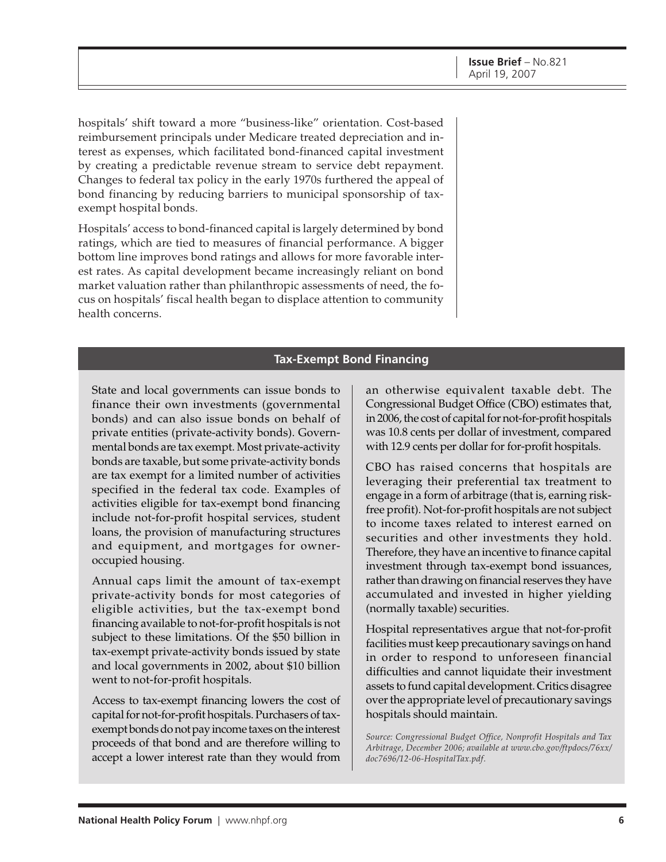hospitals' shift toward a more "business-like" orientation. Cost-based reimbursement principals under Medicare treated depreciation and interest as expenses, which facilitated bond-financed capital investment by creating a predictable revenue stream to service debt repayment. Changes to federal tax policy in the early 1970s furthered the appeal of bond financing by reducing barriers to municipal sponsorship of taxexempt hospital bonds.

Hospitals' access to bond-financed capital is largely determined by bond ratings, which are tied to measures of financial performance. A bigger bottom line improves bond ratings and allows for more favorable interest rates. As capital development became increasingly reliant on bond market valuation rather than philanthropic assessments of need, the focus on hospitals' fiscal health began to displace attention to community health concerns.

#### **Tax-Exempt Bond Financing**

State and local governments can issue bonds to finance their own investments (governmental bonds) and can also issue bonds on behalf of private entities (private-activity bonds). Governmental bonds are tax exempt. Most private-activity bonds are taxable, but some private-activity bonds are tax exempt for a limited number of activities specified in the federal tax code. Examples of activities eligible for tax-exempt bond financing include not-for-profit hospital services, student loans, the provision of manufacturing structures and equipment, and mortgages for owneroccupied housing.

Annual caps limit the amount of tax-exempt private-activity bonds for most categories of eligible activities, but the tax-exempt bond financing available to not-for-profit hospitals is not subject to these limitations. Of the \$50 billion in tax-exempt private-activity bonds issued by state and local governments in 2002, about \$10 billion went to not-for-profit hospitals.

Access to tax-exempt financing lowers the cost of capital for not-for-profit hospitals. Purchasers of taxexempt bonds do not pay income taxes on the interest proceeds of that bond and are therefore willing to accept a lower interest rate than they would from

an otherwise equivalent taxable debt. The Congressional Budget Office (CBO) estimates that, in 2006, the cost of capital for not-for-profit hospitals was 10.8 cents per dollar of investment, compared with 12.9 cents per dollar for for-profit hospitals.

CBO has raised concerns that hospitals are leveraging their preferential tax treatment to engage in a form of arbitrage (that is, earning riskfree profit). Not-for-profit hospitals are not subject to income taxes related to interest earned on securities and other investments they hold. Therefore, they have an incentive to finance capital investment through tax-exempt bond issuances, rather than drawing on financial reserves they have accumulated and invested in higher yielding (normally taxable) securities.

Hospital representatives argue that not-for-profit facilities must keep precautionary savings on hand in order to respond to unforeseen financial difficulties and cannot liquidate their investment assets to fund capital development. Critics disagree over the appropriate level of precautionary savings hospitals should maintain.

*Source: Congressional Budget Office, Nonprofit Hospitals and Tax Arbitrage, December 2006; available at [www.cbo.gov/ftpdocs/76xx/](http://www.cbo.gov/ftpdocs/76xx) doc7696/12-06-HospitalTax.pdf.*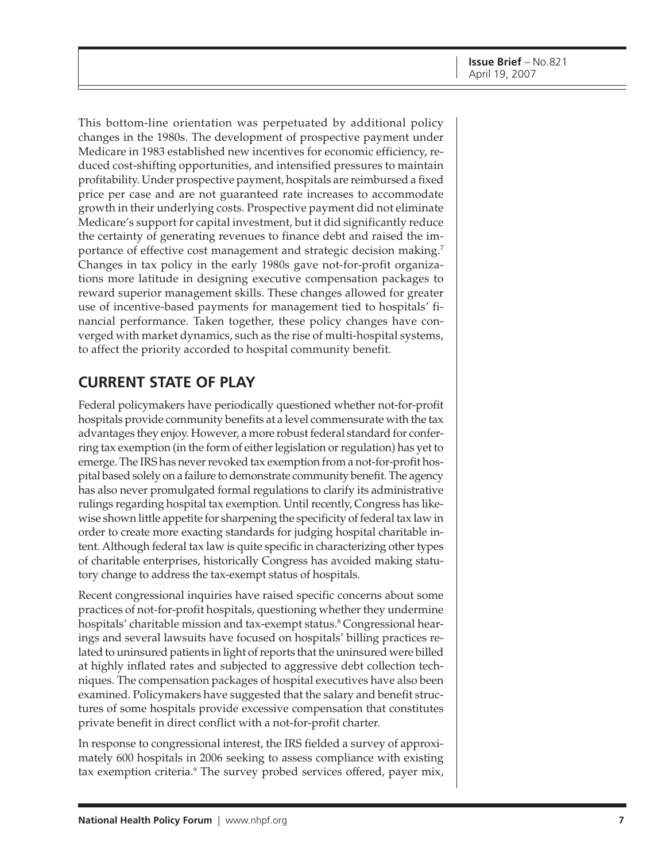This bottom-line orientation was perpetuated by additional policy changes in the 1980s. The development of prospective payment under Medicare in 1983 established new incentives for economic efficiency, reduced cost-shifting opportunities, and intensified pressures to maintain profitability. Under prospective payment, hospitals are reimbursed a fixed price per case and are not guaranteed rate increases to accommodate growth in their underlying costs. Prospective payment did not eliminate Medicare's support for capital investment, but it did significantly reduce the certainty of generating revenues to finance debt and raised the importance of effective cost management and strategic decision making.<sup>7</sup> Changes in tax policy in the early 1980s gave not-for-profit organizations more latitude in designing executive compensation packages to reward superior management skills. These changes allowed for greater use of incentive-based payments for management tied to hospitals' financial performance. Taken together, these policy changes have converged with market dynamics, such as the rise of multi-hospital systems, to affect the priority accorded to hospital community benefit.

### **CURRENT STATE OF PLAY**

Federal policymakers have periodically questioned whether not-for-profit hospitals provide community benefits at a level commensurate with the tax advantages they enjoy. However, a more robust federal standard for conferring tax exemption (in the form of either legislation or regulation) has yet to emerge. The IRS has never revoked tax exemption from a not-for-profit hospital based solely on a failure to demonstrate community benefit. The agency has also never promulgated formal regulations to clarify its administrative rulings regarding hospital tax exemption. Until recently, Congress has likewise shown little appetite for sharpening the specificity of federal tax law in order to create more exacting standards for judging hospital charitable intent. Although federal tax law is quite specific in characterizing other types of charitable enterprises, historically Congress has avoided making statutory change to address the tax-exempt status of hospitals.

Recent congressional inquiries have raised specific concerns about some practices of not-for-profit hospitals, questioning whether they undermine hospitals' charitable mission and tax-exempt status.<sup>8</sup> Congressional hearings and several lawsuits have focused on hospitals' billing practices related to uninsured patients in light of reports that the uninsured were billed at highly inflated rates and subjected to aggressive debt collection techniques. The compensation packages of hospital executives have also been examined. Policymakers have suggested that the salary and benefit structures of some hospitals provide excessive compensation that constitutes private benefit in direct conflict with a not-for-profit charter.

In response to congressional interest, the IRS fielded a survey of approximately 600 hospitals in 2006 seeking to assess compliance with existing tax exemption criteria.<sup>9</sup> The survey probed services offered, payer mix,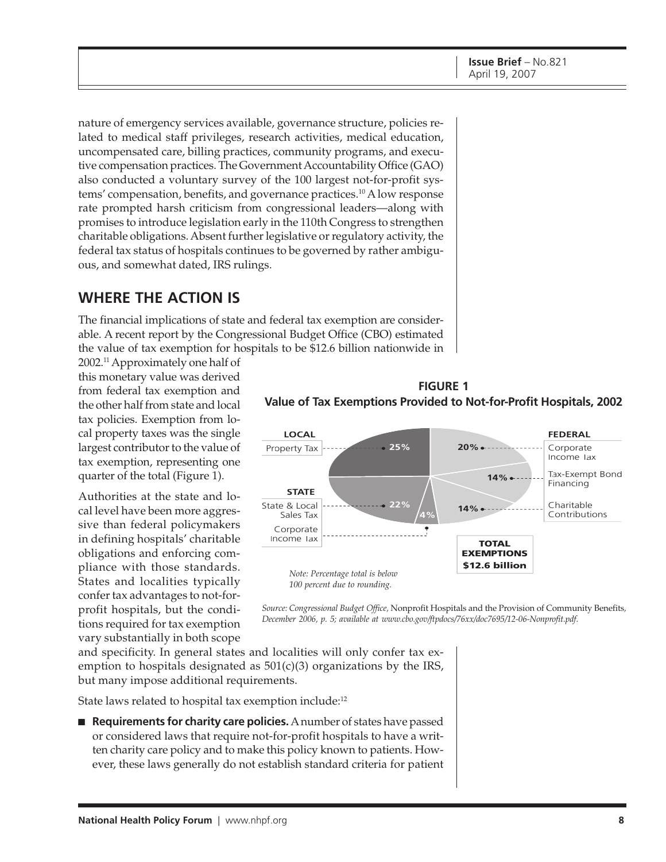nature of emergency services available, governance structure, policies related to medical staff privileges, research activities, medical education, uncompensated care, billing practices, community programs, and executive compensation practices. The Government Accountability Office (GAO) also conducted a voluntary survey of the 100 largest not-for-profit systems' compensation, benefits, and governance practices.10 A low response rate prompted harsh criticism from congressional leaders—along with promises to introduce legislation early in the 110th Congress to strengthen charitable obligations. Absent further legislative or regulatory activity, the federal tax status of hospitals continues to be governed by rather ambiguous, and somewhat dated, IRS rulings.

### **WHERE THE ACTION IS**

The financial implications of state and federal tax exemption are considerable. A recent report by the Congressional Budget Office (CBO) estimated the value of tax exemption for hospitals to be \$12.6 billion nationwide in

2002.11 Approximately one half of this monetary value was derived from federal tax exemption and the other half from state and local tax policies. Exemption from local property taxes was the single largest contributor to the value of tax exemption, representing one quarter of the total (Figure 1).

Authorities at the state and local level have been more aggressive than federal policymakers in defining hospitals' charitable obligations and enforcing compliance with those standards. States and localities typically confer tax advantages to not-forprofit hospitals, but the conditions required for tax exemption vary substantially in both scope



**FIGURE 1**



*Source: Congressional Budget Office,* Nonprofit Hospitals and the Provision of Community Benefits*, December 2006, p. 5; available at [www.cbo.gov/ftpdocs/76xx/doc7695/12-06-Nonprofit.pdf.](http://www.cbo.gov/ftpdocs/76xx/doc7695/12-06-Nonprofit.pdf)*

and specificity. In general states and localities will only confer tax exemption to hospitals designated as  $501(c)(3)$  organizations by the IRS, but many impose additional requirements.

State laws related to hospital tax exemption include:<sup>12</sup>

■ **Requirements for charity care policies.** A number of states have passed or considered laws that require not-for-profit hospitals to have a written charity care policy and to make this policy known to patients. However, these laws generally do not establish standard criteria for patient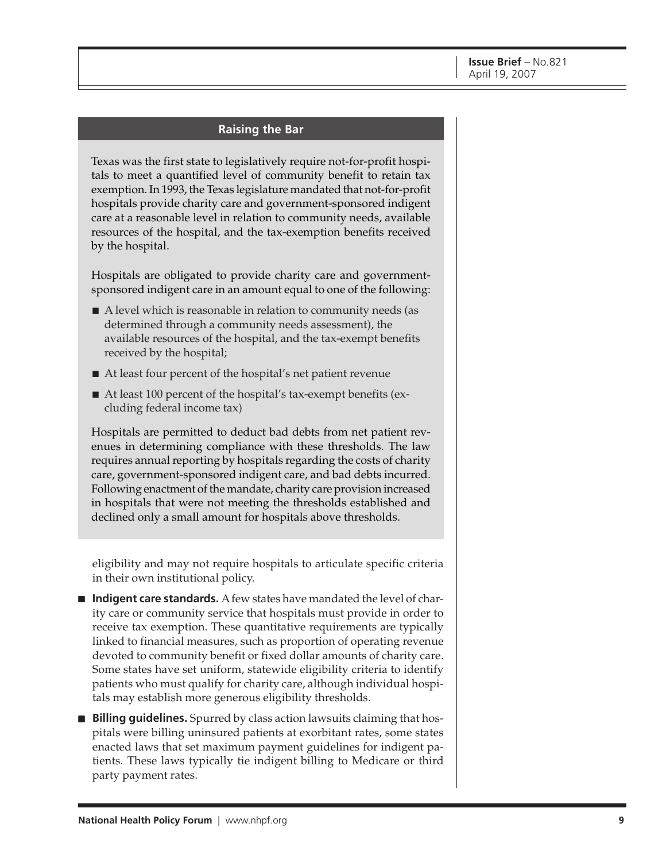#### **Raising the Bar**

Texas was the first state to legislatively require not-for-profit hospitals to meet a quantified level of community benefit to retain tax exemption. In 1993, the Texas legislature mandated that not-for-profit hospitals provide charity care and government-sponsored indigent care at a reasonable level in relation to community needs, available resources of the hospital, and the tax-exemption benefits received by the hospital.

Hospitals are obligated to provide charity care and governmentsponsored indigent care in an amount equal to one of the following:

- A level which is reasonable in relation to community needs (as determined through a community needs assessment), the available resources of the hospital, and the tax-exempt benefits received by the hospital;
- At least four percent of the hospital's net patient revenue
- At least 100 percent of the hospital's tax-exempt benefits (excluding federal income tax)

Hospitals are permitted to deduct bad debts from net patient revenues in determining compliance with these thresholds. The law requires annual reporting by hospitals regarding the costs of charity care, government-sponsored indigent care, and bad debts incurred. Following enactment of the mandate, charity care provision increased in hospitals that were not meeting the thresholds established and declined only a small amount for hospitals above thresholds.

eligibility and may not require hospitals to articulate specific criteria in their own institutional policy.

- **Indigent care standards.** A few states have mandated the level of charity care or community service that hospitals must provide in order to receive tax exemption. These quantitative requirements are typically linked to financial measures, such as proportion of operating revenue devoted to community benefit or fixed dollar amounts of charity care. Some states have set uniform, statewide eligibility criteria to identify patients who must qualify for charity care, although individual hospitals may establish more generous eligibility thresholds.
- **Billing guidelines.** Spurred by class action lawsuits claiming that hospitals were billing uninsured patients at exorbitant rates, some states enacted laws that set maximum payment guidelines for indigent patients. These laws typically tie indigent billing to Medicare or third party payment rates.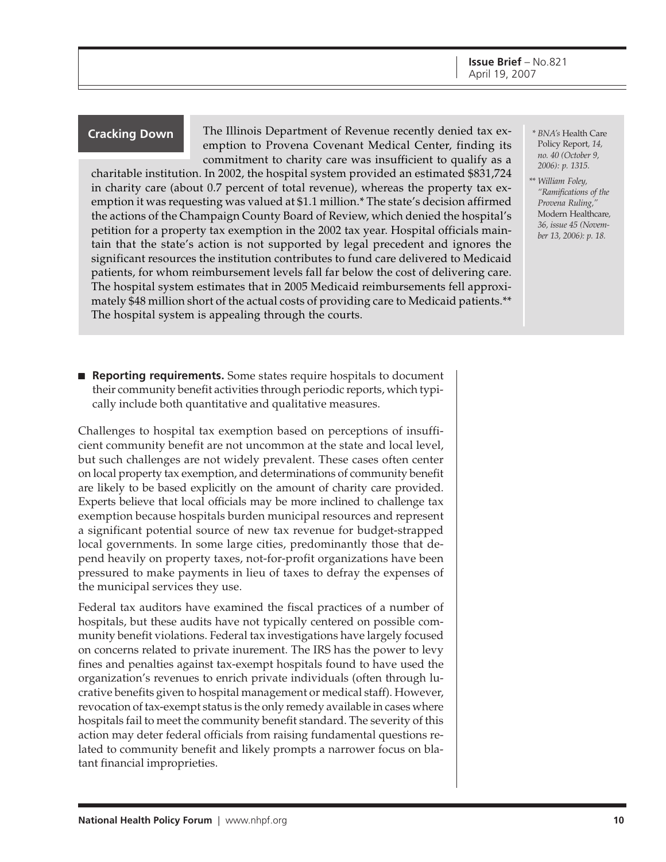The Illinois Department of Revenue recently denied tax ex-**Cracking Down** *\* BNA's* Health Care emption to Provena Covenant Medical Center, finding its commitment to charity care was insufficient to qualify as a

charitable institution. In 2002, the hospital system provided an estimated \$831,724 in charity care (about 0.7 percent of total revenue), whereas the property tax exemption it was requesting was valued at \$1.1 million.\* The state's decision affirmed the actions of the Champaign County Board of Review, which denied the hospital's petition for a property tax exemption in the 2002 tax year. Hospital officials maintain that the state's action is not supported by legal precedent and ignores the significant resources the institution contributes to fund care delivered to Medicaid patients, for whom reimbursement levels fall far below the cost of delivering care. The hospital system estimates that in 2005 Medicaid reimbursements fell approximately \$48 million short of the actual costs of providing care to Medicaid patients.\*\* The hospital system is appealing through the courts.

■ **Reporting requirements.** Some states require hospitals to document their community benefit activities through periodic reports, which typically include both quantitative and qualitative measures.

Challenges to hospital tax exemption based on perceptions of insufficient community benefit are not uncommon at the state and local level, but such challenges are not widely prevalent. These cases often center on local property tax exemption, and determinations of community benefit are likely to be based explicitly on the amount of charity care provided. Experts believe that local officials may be more inclined to challenge tax exemption because hospitals burden municipal resources and represent a significant potential source of new tax revenue for budget-strapped local governments. In some large cities, predominantly those that depend heavily on property taxes, not-for-profit organizations have been pressured to make payments in lieu of taxes to defray the expenses of the municipal services they use.

Federal tax auditors have examined the fiscal practices of a number of hospitals, but these audits have not typically centered on possible community benefit violations. Federal tax investigations have largely focused on concerns related to private inurement. The IRS has the power to levy fines and penalties against tax-exempt hospitals found to have used the organization's revenues to enrich private individuals (often through lucrative benefits given to hospital management or medical staff). However, revocation of tax-exempt status is the only remedy available in cases where hospitals fail to meet the community benefit standard. The severity of this action may deter federal officials from raising fundamental questions related to community benefit and likely prompts a narrower focus on blatant financial improprieties.

- Policy Report*, 14, no. 40 (October 9, 2006): p. 1315.*
- *\*\* William Foley, "Ramifications of the Provena Ruling,"* Modern Healthcare*, 36, issue 45 (November 13, 2006): p. 18.*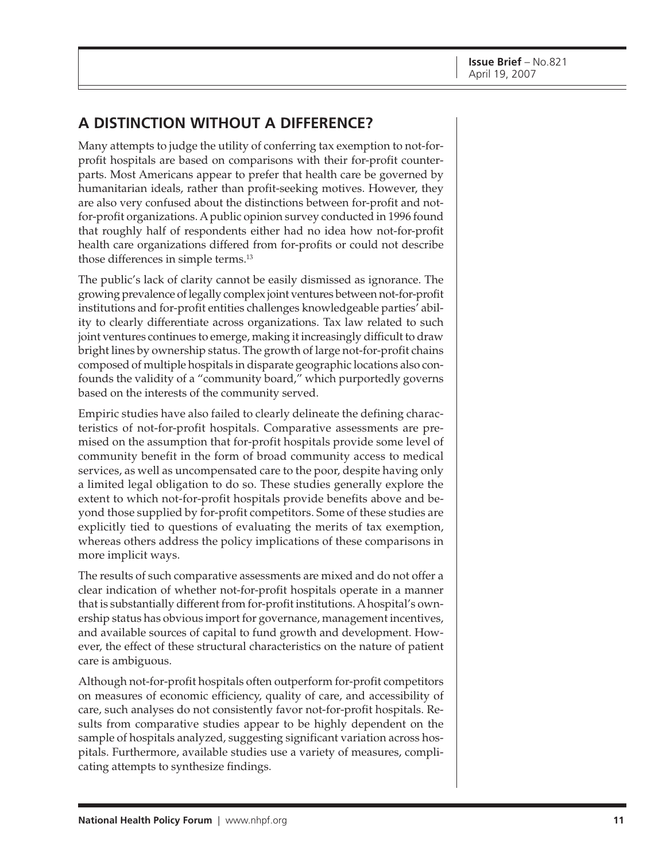### **A DISTINCTION WITHOUT A DIFFERENCE?**

Many attempts to judge the utility of conferring tax exemption to not-forprofit hospitals are based on comparisons with their for-profit counterparts. Most Americans appear to prefer that health care be governed by humanitarian ideals, rather than profit-seeking motives. However, they are also very confused about the distinctions between for-profit and notfor-profit organizations. A public opinion survey conducted in 1996 found that roughly half of respondents either had no idea how not-for-profit health care organizations differed from for-profits or could not describe those differences in simple terms.13

The public's lack of clarity cannot be easily dismissed as ignorance. The growing prevalence of legally complex joint ventures between not-for-profit institutions and for-profit entities challenges knowledgeable parties' ability to clearly differentiate across organizations. Tax law related to such joint ventures continues to emerge, making it increasingly difficult to draw bright lines by ownership status. The growth of large not-for-profit chains composed of multiple hospitals in disparate geographic locations also confounds the validity of a "community board," which purportedly governs based on the interests of the community served.

Empiric studies have also failed to clearly delineate the defining characteristics of not-for-profit hospitals. Comparative assessments are premised on the assumption that for-profit hospitals provide some level of community benefit in the form of broad community access to medical services, as well as uncompensated care to the poor, despite having only a limited legal obligation to do so. These studies generally explore the extent to which not-for-profit hospitals provide benefits above and beyond those supplied by for-profit competitors. Some of these studies are explicitly tied to questions of evaluating the merits of tax exemption, whereas others address the policy implications of these comparisons in more implicit ways.

The results of such comparative assessments are mixed and do not offer a clear indication of whether not-for-profit hospitals operate in a manner that is substantially different from for-profit institutions. A hospital's ownership status has obvious import for governance, management incentives, and available sources of capital to fund growth and development. However, the effect of these structural characteristics on the nature of patient care is ambiguous.

Although not-for-profit hospitals often outperform for-profit competitors on measures of economic efficiency, quality of care, and accessibility of care, such analyses do not consistently favor not-for-profit hospitals. Results from comparative studies appear to be highly dependent on the sample of hospitals analyzed, suggesting significant variation across hospitals. Furthermore, available studies use a variety of measures, complicating attempts to synthesize findings.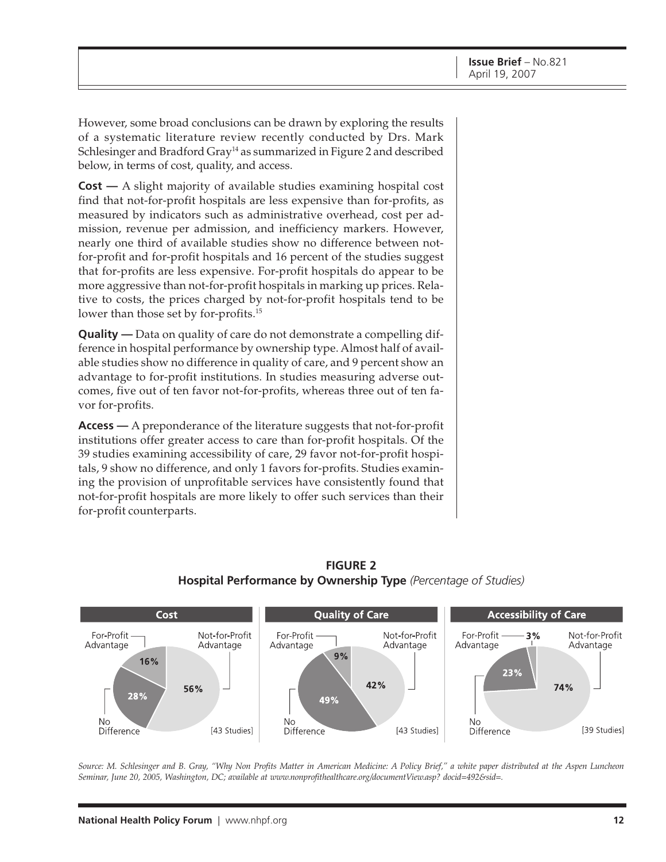However, some broad conclusions can be drawn by exploring the results of a systematic literature review recently conducted by Drs. Mark Schlesinger and Bradford Gray<sup>14</sup> as summarized in Figure 2 and described below, in terms of cost, quality, and access.

**Cost —** A slight majority of available studies examining hospital cost find that not-for-profit hospitals are less expensive than for-profits, as measured by indicators such as administrative overhead, cost per admission, revenue per admission, and inefficiency markers. However, nearly one third of available studies show no difference between notfor-profit and for-profit hospitals and 16 percent of the studies suggest that for-profits are less expensive. For-profit hospitals do appear to be more aggressive than not-for-profit hospitals in marking up prices. Relative to costs, the prices charged by not-for-profit hospitals tend to be lower than those set by for-profits.<sup>15</sup>

**Quality —** Data on quality of care do not demonstrate a compelling difference in hospital performance by ownership type. Almost half of available studies show no difference in quality of care, and 9 percent show an advantage to for-profit institutions. In studies measuring adverse outcomes, five out of ten favor not-for-profits, whereas three out of ten favor for-profits.

**Access —** A preponderance of the literature suggests that not-for-profit institutions offer greater access to care than for-profit hospitals. Of the 39 studies examining accessibility of care, 29 favor not-for-profit hospitals, 9 show no difference, and only 1 favors for-profits. Studies examining the provision of unprofitable services have consistently found that not-for-profit hospitals are more likely to offer such services than their for-profit counterparts.



#### **FIGURE 2 Hospital Performance by Ownership Type** *(Percentage of Studies)*

*Source: M. Schlesinger and B. Gray, "Why Non Profits Matter in American Medicine: A Policy Brief," a white paper distributed at the Aspen Luncheon Seminar, June 20, 2005, Washington, DC; available at [www.nonprofithealthcare.org/documentView.asp? do](http://www.nonprofithealthcare.org/documentView.asp?)cid=492&sid=.*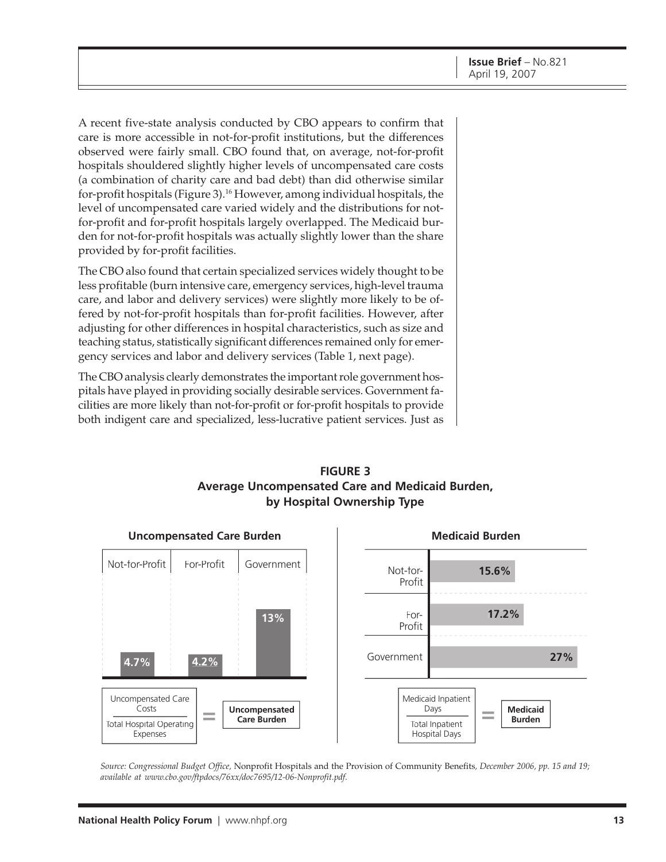A recent five-state analysis conducted by CBO appears to confirm that care is more accessible in not-for-profit institutions, but the differences observed were fairly small. CBO found that, on average, not-for-profit hospitals shouldered slightly higher levels of uncompensated care costs (a combination of charity care and bad debt) than did otherwise similar for-profit hospitals (Figure 3).16 However, among individual hospitals, the level of uncompensated care varied widely and the distributions for notfor-profit and for-profit hospitals largely overlapped. The Medicaid burden for not-for-profit hospitals was actually slightly lower than the share provided by for-profit facilities.

The CBO also found that certain specialized services widely thought to be less profitable (burn intensive care, emergency services, high-level trauma care, and labor and delivery services) were slightly more likely to be offered by not-for-profit hospitals than for-profit facilities. However, after adjusting for other differences in hospital characteristics, such as size and teaching status, statistically significant differences remained only for emergency services and labor and delivery services (Table 1, next page).

The CBO analysis clearly demonstrates the important role government hospitals have played in providing socially desirable services. Government facilities are more likely than not-for-profit or for-profit hospitals to provide both indigent care and specialized, less-lucrative patient services. Just as





*Source: Congressional Budget Office,* Nonprofit Hospitals and the Provision of Community Benefits*, December 2006, pp. 15 and 19; available at [www.cbo.gov/ftpdocs/76xx/doc7695/12-06-Nonprofit.pdf.](http://www.cbo.gov/ftpdocs/76xx/doc7695/12-06-Nonprofit.pdf)*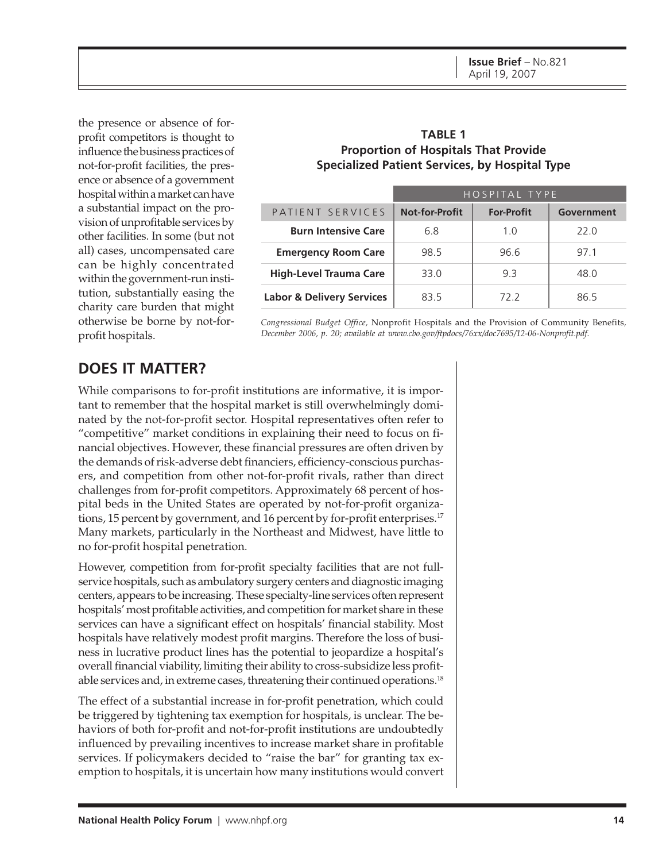the presence or absence of forprofit competitors is thought to influence the business practices of not-for-profit facilities, the presence or absence of a government hospital within a market can have a substantial impact on the provision of unprofitable services by other facilities. In some (but not all) cases, uncompensated care can be highly concentrated within the government-run institution, substantially easing the charity care burden that might otherwise be borne by not-forprofit hospitals.

#### **TABLE 1 Proportion of Hospitals That Provide Specialized Patient Services, by Hospital Type**

|                                      | HOSPITAL TYPE         |                   |            |
|--------------------------------------|-----------------------|-------------------|------------|
| PATIENT SERVICES                     | <b>Not-for-Profit</b> | <b>For-Profit</b> | Government |
| <b>Burn Intensive Care</b>           | 6.8                   | 1.0               | 22.0       |
| <b>Emergency Room Care</b>           | 98.5                  | 96.6              | 97.1       |
| <b>High-Level Trauma Care</b>        | 33.0                  | 93                | 48.O       |
| <b>Labor &amp; Delivery Services</b> | 83.5                  | 72.2              | 86 5       |

*Congressional Budget Office,* Nonprofit Hospitals and the Provision of Community Benefits*, December 2006, p. 20; available at [www.cbo.gov/ftpdocs/76xx/doc7695/12-06-Nonprofit.pdf.](http://www.cbo.gov/ftpdocs/76xx/doc7695/12-06-Nonprofit.pdf)*

### **DOES IT MATTER?**

While comparisons to for-profit institutions are informative, it is important to remember that the hospital market is still overwhelmingly dominated by the not-for-profit sector. Hospital representatives often refer to "competitive" market conditions in explaining their need to focus on financial objectives. However, these financial pressures are often driven by the demands of risk-adverse debt financiers, efficiency-conscious purchasers, and competition from other not-for-profit rivals, rather than direct challenges from for-profit competitors. Approximately 68 percent of hospital beds in the United States are operated by not-for-profit organizations, 15 percent by government, and 16 percent by for-profit enterprises.<sup>17</sup> Many markets, particularly in the Northeast and Midwest, have little to no for-profit hospital penetration.

However, competition from for-profit specialty facilities that are not fullservice hospitals, such as ambulatory surgery centers and diagnostic imaging centers, appears to be increasing. These specialty-line services often represent hospitals' most profitable activities, and competition for market share in these services can have a significant effect on hospitals' financial stability. Most hospitals have relatively modest profit margins. Therefore the loss of business in lucrative product lines has the potential to jeopardize a hospital's overall financial viability, limiting their ability to cross-subsidize less profitable services and, in extreme cases, threatening their continued operations.18

The effect of a substantial increase in for-profit penetration, which could be triggered by tightening tax exemption for hospitals, is unclear. The behaviors of both for-profit and not-for-profit institutions are undoubtedly influenced by prevailing incentives to increase market share in profitable services. If policymakers decided to "raise the bar" for granting tax exemption to hospitals, it is uncertain how many institutions would convert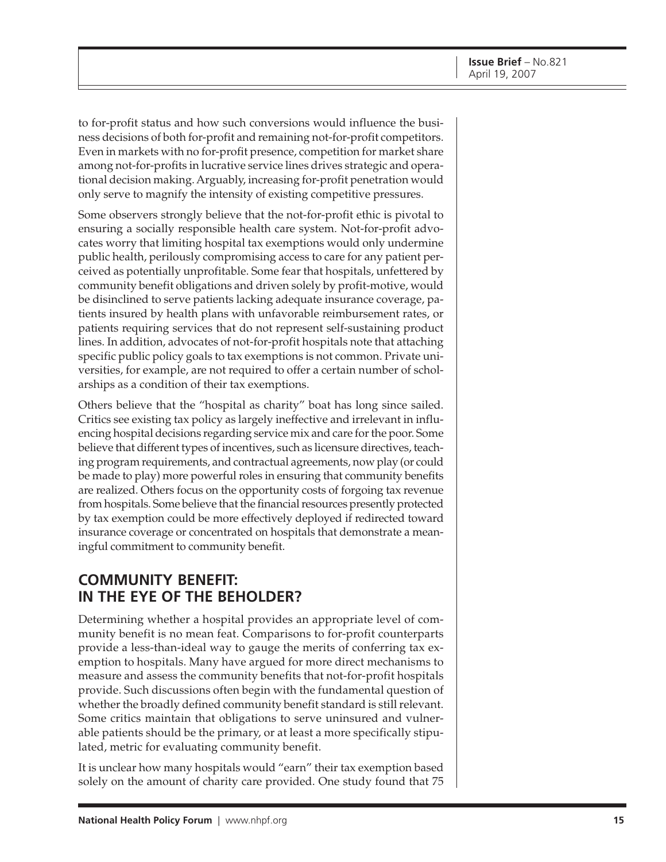to for-profit status and how such conversions would influence the business decisions of both for-profit and remaining not-for-profit competitors. Even in markets with no for-profit presence, competition for market share among not-for-profits in lucrative service lines drives strategic and operational decision making. Arguably, increasing for-profit penetration would only serve to magnify the intensity of existing competitive pressures.

Some observers strongly believe that the not-for-profit ethic is pivotal to ensuring a socially responsible health care system. Not-for-profit advocates worry that limiting hospital tax exemptions would only undermine public health, perilously compromising access to care for any patient perceived as potentially unprofitable. Some fear that hospitals, unfettered by community benefit obligations and driven solely by profit-motive, would be disinclined to serve patients lacking adequate insurance coverage, patients insured by health plans with unfavorable reimbursement rates, or patients requiring services that do not represent self-sustaining product lines. In addition, advocates of not-for-profit hospitals note that attaching specific public policy goals to tax exemptions is not common. Private universities, for example, are not required to offer a certain number of scholarships as a condition of their tax exemptions.

Others believe that the "hospital as charity" boat has long since sailed. Critics see existing tax policy as largely ineffective and irrelevant in influencing hospital decisions regarding service mix and care for the poor. Some believe that different types of incentives, such as licensure directives, teaching program requirements, and contractual agreements, now play (or could be made to play) more powerful roles in ensuring that community benefits are realized. Others focus on the opportunity costs of forgoing tax revenue from hospitals. Some believe that the financial resources presently protected by tax exemption could be more effectively deployed if redirected toward insurance coverage or concentrated on hospitals that demonstrate a meaningful commitment to community benefit.

### **COMMUNITY BENEFIT: IN THE EYE OF THE BEHOLDER?**

Determining whether a hospital provides an appropriate level of community benefit is no mean feat. Comparisons to for-profit counterparts provide a less-than-ideal way to gauge the merits of conferring tax exemption to hospitals. Many have argued for more direct mechanisms to measure and assess the community benefits that not-for-profit hospitals provide. Such discussions often begin with the fundamental question of whether the broadly defined community benefit standard is still relevant. Some critics maintain that obligations to serve uninsured and vulnerable patients should be the primary, or at least a more specifically stipulated, metric for evaluating community benefit.

It is unclear how many hospitals would "earn" their tax exemption based solely on the amount of charity care provided. One study found that 75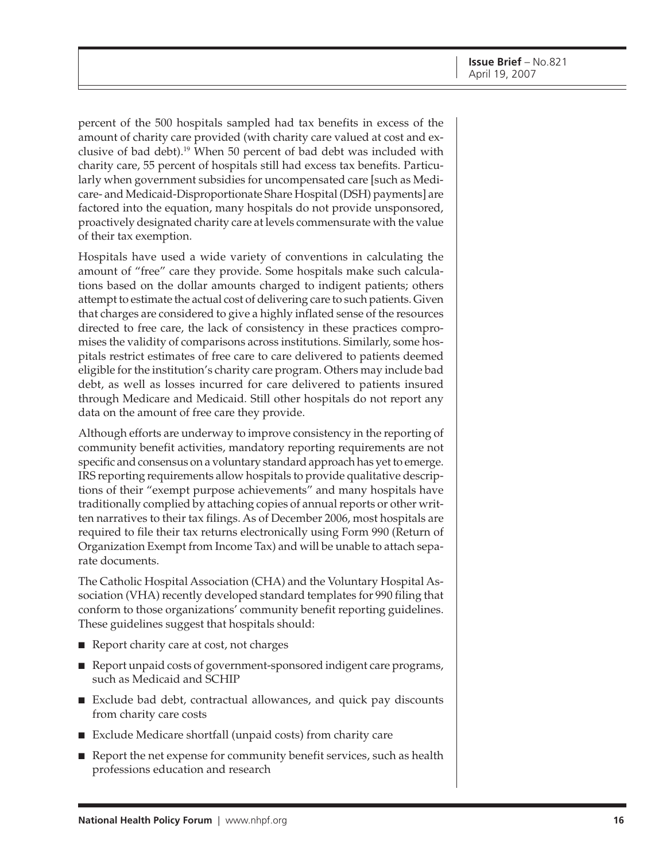percent of the 500 hospitals sampled had tax benefits in excess of the amount of charity care provided (with charity care valued at cost and exclusive of bad debt).19 When 50 percent of bad debt was included with charity care, 55 percent of hospitals still had excess tax benefits. Particularly when government subsidies for uncompensated care [such as Medicare- and Medicaid-Disproportionate Share Hospital (DSH) payments] are factored into the equation, many hospitals do not provide unsponsored, proactively designated charity care at levels commensurate with the value of their tax exemption.

Hospitals have used a wide variety of conventions in calculating the amount of "free" care they provide. Some hospitals make such calculations based on the dollar amounts charged to indigent patients; others attempt to estimate the actual cost of delivering care to such patients. Given that charges are considered to give a highly inflated sense of the resources directed to free care, the lack of consistency in these practices compromises the validity of comparisons across institutions. Similarly, some hospitals restrict estimates of free care to care delivered to patients deemed eligible for the institution's charity care program. Others may include bad debt, as well as losses incurred for care delivered to patients insured through Medicare and Medicaid. Still other hospitals do not report any data on the amount of free care they provide.

Although efforts are underway to improve consistency in the reporting of community benefit activities, mandatory reporting requirements are not specific and consensus on a voluntary standard approach has yet to emerge. IRS reporting requirements allow hospitals to provide qualitative descriptions of their "exempt purpose achievements" and many hospitals have traditionally complied by attaching copies of annual reports or other written narratives to their tax filings. As of December 2006, most hospitals are required to file their tax returns electronically using Form 990 (Return of Organization Exempt from Income Tax) and will be unable to attach separate documents.

The Catholic Hospital Association (CHA) and the Voluntary Hospital Association (VHA) recently developed standard templates for 990 filing that conform to those organizations' community benefit reporting guidelines. These guidelines suggest that hospitals should:

- Report charity care at cost, not charges
- Report unpaid costs of government-sponsored indigent care programs, such as Medicaid and SCHIP
- Exclude bad debt, contractual allowances, and quick pay discounts from charity care costs
- Exclude Medicare shortfall (unpaid costs) from charity care
- Report the net expense for community benefit services, such as health professions education and research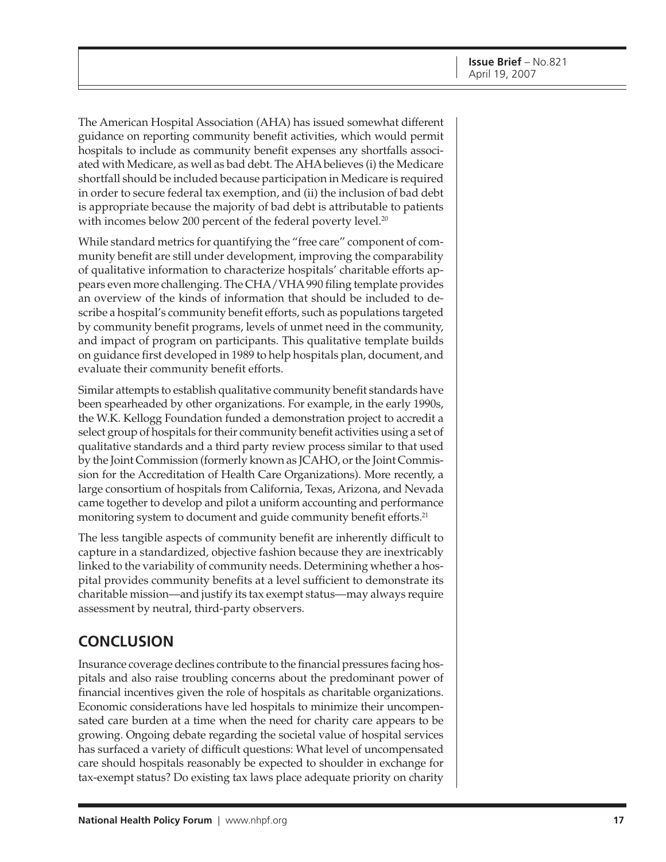The American Hospital Association (AHA) has issued somewhat different guidance on reporting community benefit activities, which would permit hospitals to include as community benefit expenses any shortfalls associated with Medicare, as well as bad debt. The AHA believes (i) the Medicare shortfall should be included because participation in Medicare is required in order to secure federal tax exemption, and (ii) the inclusion of bad debt is appropriate because the majority of bad debt is attributable to patients with incomes below 200 percent of the federal poverty level.<sup>20</sup>

While standard metrics for quantifying the "free care" component of community benefit are still under development, improving the comparability of qualitative information to characterize hospitals' charitable efforts appears even more challenging. The CHA/VHA 990 filing template provides an overview of the kinds of information that should be included to describe a hospital's community benefit efforts, such as populations targeted by community benefit programs, levels of unmet need in the community, and impact of program on participants. This qualitative template builds on guidance first developed in 1989 to help hospitals plan, document, and evaluate their community benefit efforts.

Similar attempts to establish qualitative community benefit standards have been spearheaded by other organizations. For example, in the early 1990s, the W.K. Kellogg Foundation funded a demonstration project to accredit a select group of hospitals for their community benefit activities using a set of qualitative standards and a third party review process similar to that used by the Joint Commission (formerly known as JCAHO, or the Joint Commission for the Accreditation of Health Care Organizations). More recently, a large consortium of hospitals from California, Texas, Arizona, and Nevada came together to develop and pilot a uniform accounting and performance monitoring system to document and guide community benefit efforts.<sup>21</sup>

The less tangible aspects of community benefit are inherently difficult to capture in a standardized, objective fashion because they are inextricably linked to the variability of community needs. Determining whether a hospital provides community benefits at a level sufficient to demonstrate its charitable mission—and justify its tax exempt status—may always require assessment by neutral, third-party observers.

## **CONCLUSION**

Insurance coverage declines contribute to the financial pressures facing hospitals and also raise troubling concerns about the predominant power of financial incentives given the role of hospitals as charitable organizations. Economic considerations have led hospitals to minimize their uncompensated care burden at a time when the need for charity care appears to be growing. Ongoing debate regarding the societal value of hospital services has surfaced a variety of difficult questions: What level of uncompensated care should hospitals reasonably be expected to shoulder in exchange for tax-exempt status? Do existing tax laws place adequate priority on charity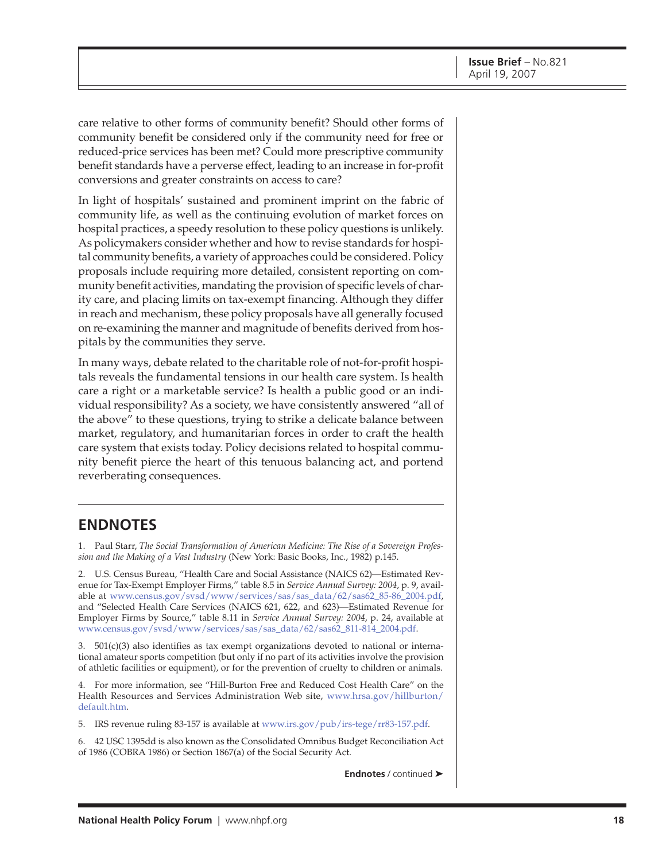care relative to other forms of community benefit? Should other forms of community benefit be considered only if the community need for free or reduced-price services has been met? Could more prescriptive community benefit standards have a perverse effect, leading to an increase in for-profit conversions and greater constraints on access to care?

In light of hospitals' sustained and prominent imprint on the fabric of community life, as well as the continuing evolution of market forces on hospital practices, a speedy resolution to these policy questions is unlikely. As policymakers consider whether and how to revise standards for hospital community benefits, a variety of approaches could be considered. Policy proposals include requiring more detailed, consistent reporting on community benefit activities, mandating the provision of specific levels of charity care, and placing limits on tax-exempt financing. Although they differ in reach and mechanism, these policy proposals have all generally focused on re-examining the manner and magnitude of benefits derived from hospitals by the communities they serve.

In many ways, debate related to the charitable role of not-for-profit hospitals reveals the fundamental tensions in our health care system. Is health care a right or a marketable service? Is health a public good or an individual responsibility? As a society, we have consistently answered "all of the above" to these questions, trying to strike a delicate balance between market, regulatory, and humanitarian forces in order to craft the health care system that exists today. Policy decisions related to hospital community benefit pierce the heart of this tenuous balancing act, and portend reverberating consequences.

### **ENDNOTES**

1. Paul Starr, *The Social Transformation of American Medicine: The Rise of a Sovereign Profession and the Making of a Vast Industry* (New York: Basic Books, Inc., 1982) p.145.

2. U.S. Census Bureau, "Health Care and Social Assistance (NAICS 62)—Estimated Revenue for Tax-Exempt Employer Firms," table 8.5 in *Service Annual Survey: 2004*, p. 9, available at [www.census.gov/svsd/www/services/sas/sas\\_data/62/sas62\\_85-86\\_2004.pdf,](http://www.census.gov/svsd/www/services/sas/sas_data/62/sas62_85-86_2004.pdf) and "Selected Health Care Services (NAICS 621, 622, and 623)—Estimated Revenue for Employer Firms by Source," table 8.11 in *Service Annual Survey: 2004*, p. 24, available at [www.census.gov/svsd/www/services/sas/sas\\_data/62/sas62\\_811-814\\_2004.pdf.](http://www.census.gov/svsd/www/services/sas/sas_data/62/sas62_811-814_2004.pdf)

3.  $501(c)(3)$  also identifies as tax exempt organizations devoted to national or international amateur sports competition (but only if no part of its activities involve the provision of athletic facilities or equipment), or for the prevention of cruelty to children or animals.

4. For more information, see "Hill-Burton Free and Reduced Cost Health Care" on the [Health Resources and Services Administration Web site, www.hrsa.gov/hillburton/](http://www.hrsa.gov/hillburton/default.htm) default.htm.

5. IRS revenue ruling 83-157 is available at [www.irs.gov/pub/irs-tege/rr83-157.pdf.](http://www.irs.gov/pub/irs-tege/rr83-157.pdf)

6. 42 USC 1395dd is also known as the Consolidated Omnibus Budget Reconciliation Act of 1986 (COBRA 1986) or Section 1867(a) of the Social Security Act.

**Endnotes** / continued ➤